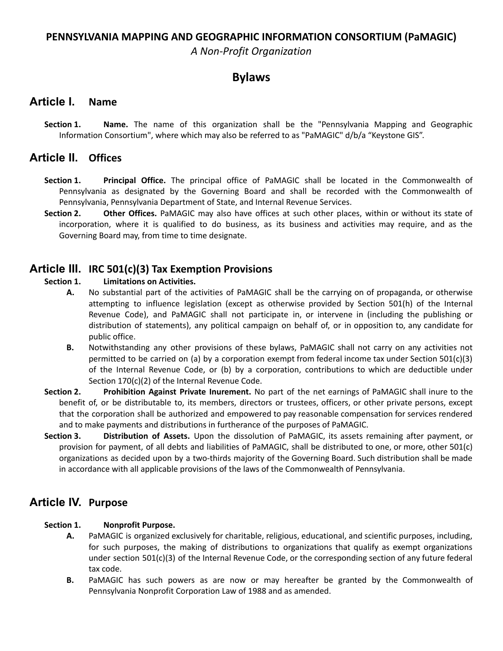### **PENNSYLVANIA MAPPING AND GEOGRAPHIC INFORMATION CONSORTIUM (PaMAGIC)**

*A Non-Profit Organization*

### **Bylaws**

### **Article I. Name**

**Section 1. Name.** The name of this organization shall be the "Pennsylvania Mapping and Geographic Information Consortium", where which may also be referred to as "PaMAGIC" d/b/a "Keystone GIS".

### **Article II. Offices**

- **Section 1. Principal Office.** The principal office of PaMAGIC shall be located in the Commonwealth of Pennsylvania as designated by the Governing Board and shall be recorded with the Commonwealth of Pennsylvania, Pennsylvania Department of State, and Internal Revenue Services.
- **Section 2. Other Offices.** PaMAGIC may also have offices at such other places, within or without its state of incorporation, where it is qualified to do business, as its business and activities may require, and as the Governing Board may, from time to time designate.

### **Article III. IRC 501(c)(3) Tax Exemption Provisions**

#### **Section 1. Limitations on Activities.**

- **A.** No substantial part of the activities of PaMAGIC shall be the carrying on of propaganda, or otherwise attempting to influence legislation (except as otherwise provided by Section 501(h) of the Internal Revenue Code), and PaMAGIC shall not participate in, or intervene in (including the publishing or distribution of statements), any political campaign on behalf of, or in opposition to, any candidate for public office.
- **B.** Notwithstanding any other provisions of these bylaws, PaMAGIC shall not carry on any activities not permitted to be carried on (a) by a corporation exempt from federal income tax under Section 501(c)(3) of the Internal Revenue Code, or (b) by a corporation, contributions to which are deductible under Section 170(c)(2) of the Internal Revenue Code.
- **Section 2. Prohibition Against Private Inurement.** No part of the net earnings of PaMAGIC shall inure to the benefit of, or be distributable to, its members, directors or trustees, officers, or other private persons, except that the corporation shall be authorized and empowered to pay reasonable compensation for services rendered and to make payments and distributions in furtherance of the purposes of PaMAGIC.
- **Section 3. Distribution of Assets.** Upon the dissolution of PaMAGIC, its assets remaining after payment, or provision for payment, of all debts and liabilities of PaMAGIC, shall be distributed to one, or more, other 501(c) organizations as decided upon by a two-thirds majority of the Governing Board. Such distribution shall be made in accordance with all applicable provisions of the laws of the Commonwealth of Pennsylvania.

## **Article IV. Purpose**

#### **Section 1. Nonprofit Purpose.**

- **A.** PaMAGIC is organized exclusively for charitable, religious, educational, and scientific purposes, including, for such purposes, the making of distributions to organizations that qualify as exempt organizations under section 501(c)(3) of the Internal Revenue Code, or the corresponding section of any future federal tax code.
- **B.** PaMAGIC has such powers as are now or may hereafter be granted by the Commonwealth of Pennsylvania Nonprofit Corporation Law of 1988 and as amended.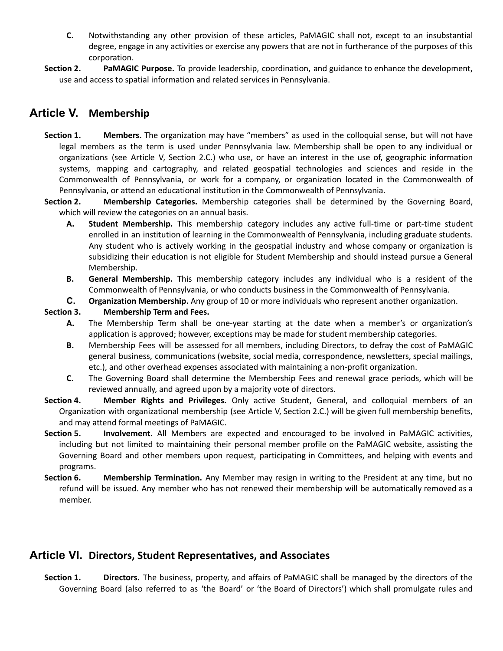- **C.** Notwithstanding any other provision of these articles, PaMAGIC shall not, except to an insubstantial degree, engage in any activities or exercise any powers that are not in furtherance of the purposes of this corporation.
- **Section 2. PaMAGIC Purpose.** To provide leadership, coordination, and guidance to enhance the development, use and access to spatial information and related services in Pennsylvania.

## **Article V. Membership**

- **Section 1. Members.** The organization may have "members" as used in the colloquial sense, but will not have legal members as the term is used under Pennsylvania law. Membership shall be open to any individual or organizations (see Article V, Section 2.C.) who use, or have an interest in the use of, geographic information systems, mapping and cartography, and related geospatial technologies and sciences and reside in the Commonwealth of Pennsylvania, or work for a company, or organization located in the Commonwealth of Pennsylvania, or attend an educational institution in the Commonwealth of Pennsylvania.
- **Section 2. Membership Categories.** Membership categories shall be determined by the Governing Board, which will review the categories on an annual basis.
	- **A. Student Membership.** This membership category includes any active full-time or part-time student enrolled in an institution of learning in the Commonwealth of Pennsylvania, including graduate students. Any student who is actively working in the geospatial industry and whose company or organization is subsidizing their education is not eligible for Student Membership and should instead pursue a General Membership.
	- **B. General Membership.** This membership category includes any individual who is a resident of the Commonwealth of Pennsylvania, or who conducts business in the Commonwealth of Pennsylvania.
	- **C. Organization Membership.** Any group of 10 or more individuals who represent another organization.

#### **Section 3. Membership Term and Fees.**

- **A.** The Membership Term shall be one-year starting at the date when a member's or organization's application is approved; however, exceptions may be made for student membership categories.
- **B.** Membership Fees will be assessed for all members, including Directors, to defray the cost of PaMAGIC general business, communications (website, social media, correspondence, newsletters, special mailings, etc.), and other overhead expenses associated with maintaining a non-profit organization.
- **C.** The Governing Board shall determine the Membership Fees and renewal grace periods, which will be reviewed annually, and agreed upon by a majority vote of directors.
- **Section 4. Member Rights and Privileges.** Only active Student, General, and colloquial members of an Organization with organizational membership (see Article V, Section 2.C.) will be given full membership benefits, and may attend formal meetings of PaMAGIC.
- **Section 5. Involvement.** All Members are expected and encouraged to be involved in PaMAGIC activities, including but not limited to maintaining their personal member profile on the PaMAGIC website, assisting the Governing Board and other members upon request, participating in Committees, and helping with events and programs.
- **Section 6. Membership Termination.** Any Member may resign in writing to the President at any time, but no refund will be issued. Any member who has not renewed their membership will be automatically removed as a member.

## **Article VI. Directors, Student Representatives, and Associates**

**Section 1. Directors.** The business, property, and affairs of PaMAGIC shall be managed by the directors of the Governing Board (also referred to as 'the Board' or 'the Board of Directors') which shall promulgate rules and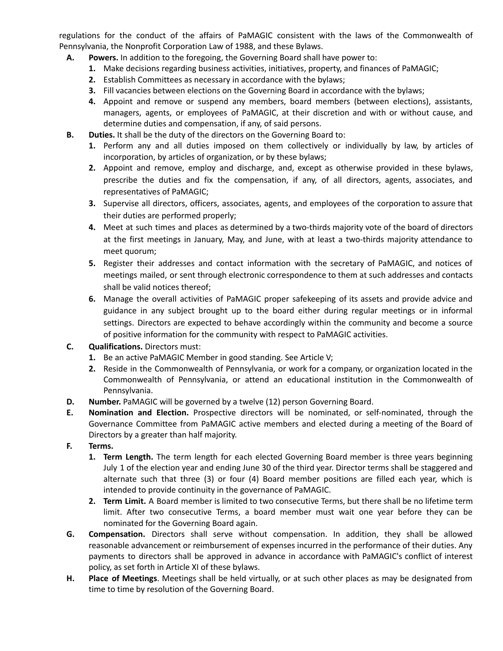regulations for the conduct of the affairs of PaMAGIC consistent with the laws of the Commonwealth of Pennsylvania, the Nonprofit Corporation Law of 1988, and these Bylaws.

- **A. Powers.** In addition to the foregoing, the Governing Board shall have power to:
	- **1.** Make decisions regarding business activities, initiatives, property, and finances of PaMAGIC;
	- **2.** Establish Committees as necessary in accordance with the bylaws;
	- **3.** Fill vacancies between elections on the Governing Board in accordance with the bylaws;
	- **4.** Appoint and remove or suspend any members, board members (between elections), assistants, managers, agents, or employees of PaMAGIC, at their discretion and with or without cause, and determine duties and compensation, if any, of said persons.
- **B. Duties.** It shall be the duty of the directors on the Governing Board to:
	- **1.** Perform any and all duties imposed on them collectively or individually by law, by articles of incorporation, by articles of organization, or by these bylaws;
	- **2.** Appoint and remove, employ and discharge, and, except as otherwise provided in these bylaws, prescribe the duties and fix the compensation, if any, of all directors, agents, associates, and representatives of PaMAGIC;
	- **3.** Supervise all directors, officers, associates, agents, and employees of the corporation to assure that their duties are performed properly;
	- **4.** Meet at such times and places as determined by a two-thirds majority vote of the board of directors at the first meetings in January, May, and June, with at least a two-thirds majority attendance to meet quorum;
	- **5.** Register their addresses and contact information with the secretary of PaMAGIC, and notices of meetings mailed, or sent through electronic correspondence to them at such addresses and contacts shall be valid notices thereof;
	- **6.** Manage the overall activities of PaMAGIC proper safekeeping of its assets and provide advice and guidance in any subject brought up to the board either during regular meetings or in informal settings. Directors are expected to behave accordingly within the community and become a source of positive information for the community with respect to PaMAGIC activities.
- **C. Qualifications.** Directors must:
	- **1.** Be an active PaMAGIC Member in good standing. See Article V;
	- **2.** Reside in the Commonwealth of Pennsylvania, or work for a company, or organization located in the Commonwealth of Pennsylvania, or attend an educational institution in the Commonwealth of Pennsylvania.
- **D. Number.** PaMAGIC will be governed by a twelve (12) person Governing Board.
- **E. Nomination and Election.** Prospective directors will be nominated, or self-nominated, through the Governance Committee from PaMAGIC active members and elected during a meeting of the Board of Directors by a greater than half majority.
- **F. Terms.**
	- **1. Term Length.** The term length for each elected Governing Board member is three years beginning July 1 of the election year and ending June 30 of the third year. Director terms shall be staggered and alternate such that three (3) or four (4) Board member positions are filled each year, which is intended to provide continuity in the governance of PaMAGIC.
	- **2. Term Limit.** A Board member is limited to two consecutive Terms, but there shall be no lifetime term limit. After two consecutive Terms, a board member must wait one year before they can be nominated for the Governing Board again.
- **G. Compensation.** Directors shall serve without compensation. In addition, they shall be allowed reasonable advancement or reimbursement of expenses incurred in the performance of their duties. Any payments to directors shall be approved in advance in accordance with PaMAGIC's conflict of interest policy, as set forth in Article XI of these bylaws.
- **H. Place of Meetings**. Meetings shall be held virtually, or at such other places as may be designated from time to time by resolution of the Governing Board.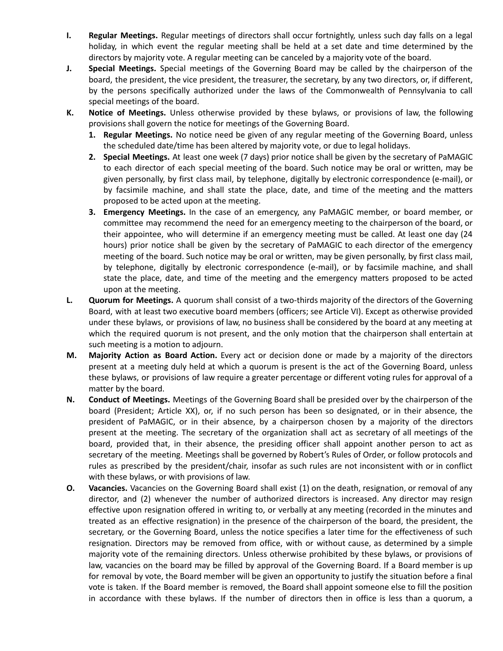- **I. Regular Meetings.** Regular meetings of directors shall occur fortnightly, unless such day falls on a legal holiday, in which event the regular meeting shall be held at a set date and time determined by the directors by majority vote. A regular meeting can be canceled by a majority vote of the board.
- **J. Special Meetings.** Special meetings of the Governing Board may be called by the chairperson of the board, the president, the vice president, the treasurer, the secretary, by any two directors, or, if different, by the persons specifically authorized under the laws of the Commonwealth of Pennsylvania to call special meetings of the board.
- **K. Notice of Meetings.** Unless otherwise provided by these bylaws, or provisions of law, the following provisions shall govern the notice for meetings of the Governing Board.
	- **1. Regular Meetings.** No notice need be given of any regular meeting of the Governing Board, unless the scheduled date/time has been altered by majority vote, or due to legal holidays.
	- **2. Special Meetings.** At least one week (7 days) prior notice shall be given by the secretary of PaMAGIC to each director of each special meeting of the board. Such notice may be oral or written, may be given personally, by first class mail, by telephone, digitally by electronic correspondence (e-mail), or by facsimile machine, and shall state the place, date, and time of the meeting and the matters proposed to be acted upon at the meeting.
	- **3. Emergency Meetings.** In the case of an emergency, any PaMAGIC member, or board member, or committee may recommend the need for an emergency meeting to the chairperson of the board, or their appointee, who will determine if an emergency meeting must be called. At least one day (24 hours) prior notice shall be given by the secretary of PaMAGIC to each director of the emergency meeting of the board. Such notice may be oral or written, may be given personally, by first class mail, by telephone, digitally by electronic correspondence (e-mail), or by facsimile machine, and shall state the place, date, and time of the meeting and the emergency matters proposed to be acted upon at the meeting.
- **L. Quorum for Meetings.** A quorum shall consist of a two-thirds majority of the directors of the Governing Board, with at least two executive board members (officers; see Article VI). Except as otherwise provided under these bylaws, or provisions of law, no business shall be considered by the board at any meeting at which the required quorum is not present, and the only motion that the chairperson shall entertain at such meeting is a motion to adjourn.
- **M. Majority Action as Board Action.** Every act or decision done or made by a majority of the directors present at a meeting duly held at which a quorum is present is the act of the Governing Board, unless these bylaws, or provisions of law require a greater percentage or different voting rules for approval of a matter by the board.
- **N. Conduct of Meetings.** Meetings of the Governing Board shall be presided over by the chairperson of the board (President; Article XX), or, if no such person has been so designated, or in their absence, the president of PaMAGIC, or in their absence, by a chairperson chosen by a majority of the directors present at the meeting. The secretary of the organization shall act as secretary of all meetings of the board, provided that, in their absence, the presiding officer shall appoint another person to act as secretary of the meeting. Meetings shall be governed by Robert's Rules of Order, or follow protocols and rules as prescribed by the president/chair, insofar as such rules are not inconsistent with or in conflict with these bylaws, or with provisions of law.
- **O. Vacancies.** Vacancies on the Governing Board shall exist (1) on the death, resignation, or removal of any director, and (2) whenever the number of authorized directors is increased. Any director may resign effective upon resignation offered in writing to, or verbally at any meeting (recorded in the minutes and treated as an effective resignation) in the presence of the chairperson of the board, the president, the secretary, or the Governing Board, unless the notice specifies a later time for the effectiveness of such resignation. Directors may be removed from office, with or without cause, as determined by a simple majority vote of the remaining directors. Unless otherwise prohibited by these bylaws, or provisions of law, vacancies on the board may be filled by approval of the Governing Board. If a Board member is up for removal by vote, the Board member will be given an opportunity to justify the situation before a final vote is taken. If the Board member is removed, the Board shall appoint someone else to fill the position in accordance with these bylaws. If the number of directors then in office is less than a quorum, a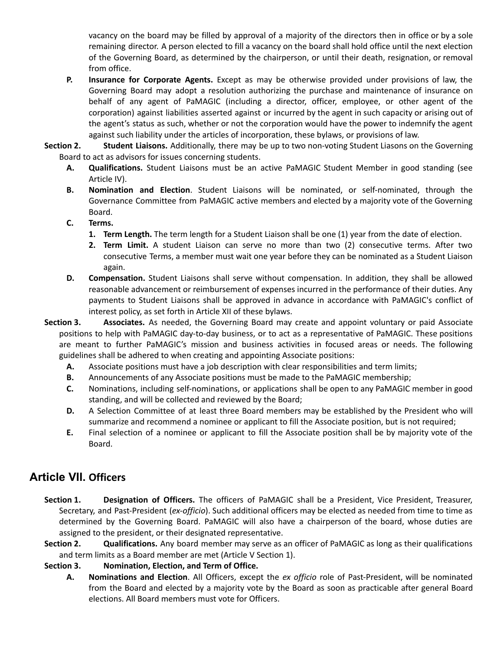vacancy on the board may be filled by approval of a majority of the directors then in office or by a sole remaining director. A person elected to fill a vacancy on the board shall hold office until the next election of the Governing Board, as determined by the chairperson, or until their death, resignation, or removal from office.

**P. Insurance for Corporate Agents.** Except as may be otherwise provided under provisions of law, the Governing Board may adopt a resolution authorizing the purchase and maintenance of insurance on behalf of any agent of PaMAGIC (including a director, officer, employee, or other agent of the corporation) against liabilities asserted against or incurred by the agent in such capacity or arising out of the agent's status as such, whether or not the corporation would have the power to indemnify the agent against such liability under the articles of incorporation, these bylaws, or provisions of law.

**Section 2. Student Liaisons.** Additionally, there may be up to two non-voting Student Liasons on the Governing Board to act as advisors for issues concerning students.

- **A. Qualifications.** Student Liaisons must be an active PaMAGIC Student Member in good standing (see Article IV).
- **B. Nomination and Election**. Student Liaisons will be nominated, or self-nominated, through the Governance Committee from PaMAGIC active members and elected by a majority vote of the Governing Board.

### **C. Terms.**

- **1. Term Length.** The term length for a Student Liaison shall be one (1) year from the date of election.
- **2. Term Limit.** A student Liaison can serve no more than two (2) consecutive terms. After two consecutive Terms, a member must wait one year before they can be nominated as a Student Liaison again.
- **D. Compensation.** Student Liaisons shall serve without compensation. In addition, they shall be allowed reasonable advancement or reimbursement of expenses incurred in the performance of their duties. Any payments to Student Liaisons shall be approved in advance in accordance with PaMAGIC's conflict of interest policy, as set forth in Article XII of these bylaws.

**Section 3. Associates.** As needed, the Governing Board may create and appoint voluntary or paid Associate positions to help with PaMAGIC day-to-day business, or to act as a representative of PaMAGIC. These positions are meant to further PaMAGIC's mission and business activities in focused areas or needs. The following guidelines shall be adhered to when creating and appointing Associate positions:

- **A.** Associate positions must have a job description with clear responsibilities and term limits;
- **B.** Announcements of any Associate positions must be made to the PaMAGIC membership;
- **C.** Nominations, including self-nominations, or applications shall be open to any PaMAGIC member in good standing, and will be collected and reviewed by the Board;
- **D.** A Selection Committee of at least three Board members may be established by the President who will summarize and recommend a nominee or applicant to fill the Associate position, but is not required;
- **E.** Final selection of a nominee or applicant to fill the Associate position shall be by majority vote of the Board.

# **Article VII. Officers**

- **Section 1. Designation of Officers.** The officers of PaMAGIC shall be a President, Vice President, Treasurer, Secretary, and Past-President (*ex-officio*). Such additional officers may be elected as needed from time to time as determined by the Governing Board. PaMAGIC will also have a chairperson of the board, whose duties are assigned to the president, or their designated representative.
- **Section 2. Qualifications.** Any board member may serve as an officer of PaMAGIC as long as their qualifications and term limits as a Board member are met (Article V Section 1).

### **Section 3. Nomination, Election, and Term of Office.**

**A. Nominations and Election**. All Officers, except the *ex officio* role of Past-President, will be nominated from the Board and elected by a majority vote by the Board as soon as practicable after general Board elections. All Board members must vote for Officers.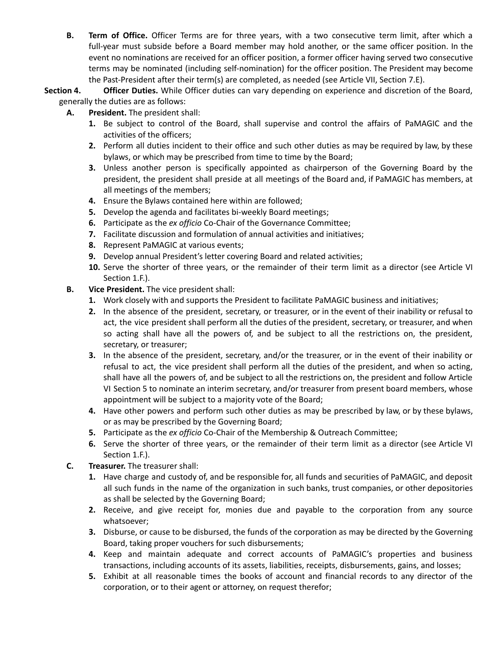**B. Term of Office.** Officer Terms are for three years, with a two consecutive term limit, after which a full-year must subside before a Board member may hold another, or the same officer position. In the event no nominations are received for an officer position, a former officer having served two consecutive terms may be nominated (including self-nomination) for the officer position. The President may become the Past-President after their term(s) are completed, as needed (see Article VII, Section 7.E).

**Section 4. Officer Duties.** While Officer duties can vary depending on experience and discretion of the Board, generally the duties are as follows:

- **A. President.** The president shall:
	- **1.** Be subject to control of the Board, shall supervise and control the affairs of PaMAGIC and the activities of the officers;
	- **2.** Perform all duties incident to their office and such other duties as may be required by law, by these bylaws, or which may be prescribed from time to time by the Board;
	- **3.** Unless another person is specifically appointed as chairperson of the Governing Board by the president, the president shall preside at all meetings of the Board and, if PaMAGIC has members, at all meetings of the members;
	- **4.** Ensure the Bylaws contained here within are followed;
	- **5.** Develop the agenda and facilitates bi-weekly Board meetings;
	- **6.** Participate as the *ex officio* Co-Chair of the Governance Committee;
	- **7.** Facilitate discussion and formulation of annual activities and initiatives;
	- **8.** Represent PaMAGIC at various events;
	- **9.** Develop annual President's letter covering Board and related activities;
	- **10.** Serve the shorter of three years, or the remainder of their term limit as a director (see Article VI Section 1.F.).
- **B. Vice President.** The vice president shall:
	- **1.** Work closely with and supports the President to facilitate PaMAGIC business and initiatives;
	- **2.** In the absence of the president, secretary, or treasurer, or in the event of their inability or refusal to act, the vice president shall perform all the duties of the president, secretary, or treasurer, and when so acting shall have all the powers of, and be subject to all the restrictions on, the president, secretary, or treasurer;
	- **3.** In the absence of the president, secretary, and/or the treasurer, or in the event of their inability or refusal to act, the vice president shall perform all the duties of the president, and when so acting, shall have all the powers of, and be subject to all the restrictions on, the president and follow Article VI Section 5 to nominate an interim secretary, and/or treasurer from present board members, whose appointment will be subject to a majority vote of the Board;
	- **4.** Have other powers and perform such other duties as may be prescribed by law, or by these bylaws, or as may be prescribed by the Governing Board;
	- **5.** Participate as the *ex officio* Co-Chair of the Membership & Outreach Committee;
	- **6.** Serve the shorter of three years, or the remainder of their term limit as a director (see Article VI Section 1.F.).
- **C. Treasurer.** The treasurer shall:
	- **1.** Have charge and custody of, and be responsible for, all funds and securities of PaMAGIC, and deposit all such funds in the name of the organization in such banks, trust companies, or other depositories as shall be selected by the Governing Board;
	- **2.** Receive, and give receipt for, monies due and payable to the corporation from any source whatsoever;
	- **3.** Disburse, or cause to be disbursed, the funds of the corporation as may be directed by the Governing Board, taking proper vouchers for such disbursements;
	- **4.** Keep and maintain adequate and correct accounts of PaMAGIC's properties and business transactions, including accounts of its assets, liabilities, receipts, disbursements, gains, and losses;
	- **5.** Exhibit at all reasonable times the books of account and financial records to any director of the corporation, or to their agent or attorney, on request therefor;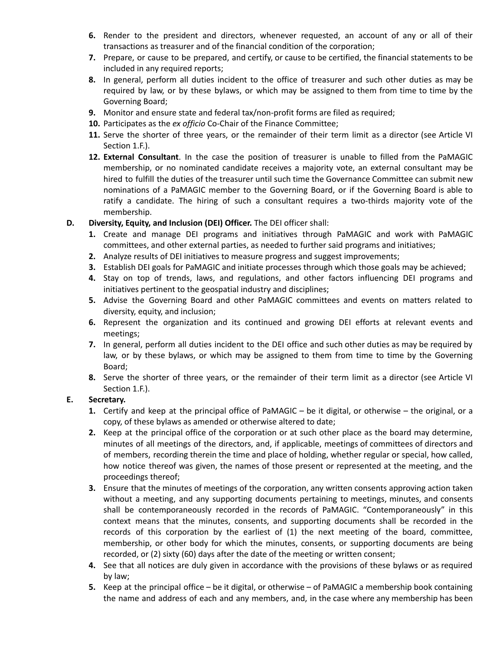- **6.** Render to the president and directors, whenever requested, an account of any or all of their transactions as treasurer and of the financial condition of the corporation;
- **7.** Prepare, or cause to be prepared, and certify, or cause to be certified, the financial statements to be included in any required reports;
- **8.** In general, perform all duties incident to the office of treasurer and such other duties as may be required by law, or by these bylaws, or which may be assigned to them from time to time by the Governing Board;
- **9.** Monitor and ensure state and federal tax/non-profit forms are filed as required;
- **10.** Participates as the *ex officio* Co-Chair of the Finance Committee;
- 11. Serve the shorter of three years, or the remainder of their term limit as a director (see Article VI Section 1.F.).
- **12. External Consultant**. In the case the position of treasurer is unable to filled from the PaMAGIC membership, or no nominated candidate receives a majority vote, an external consultant may be hired to fulfill the duties of the treasurer until such time the Governance Committee can submit new nominations of a PaMAGIC member to the Governing Board, or if the Governing Board is able to ratify a candidate. The hiring of such a consultant requires a two-thirds majority vote of the membership.
- **D. Diversity, Equity, and Inclusion (DEI) Officer.** The DEI officer shall:
	- **1.** Create and manage DEI programs and initiatives through PaMAGIC and work with PaMAGIC committees, and other external parties, as needed to further said programs and initiatives;
	- **2.** Analyze results of DEI initiatives to measure progress and suggest improvements;
	- **3.** Establish DEI goals for PaMAGIC and initiate processes through which those goals may be achieved;
	- **4.** Stay on top of trends, laws, and regulations, and other factors influencing DEI programs and initiatives pertinent to the geospatial industry and disciplines;
	- **5.** Advise the Governing Board and other PaMAGIC committees and events on matters related to diversity, equity, and inclusion;
	- **6.** Represent the organization and its continued and growing DEI efforts at relevant events and meetings;
	- **7.** In general, perform all duties incident to the DEI office and such other duties as may be required by law, or by these bylaws, or which may be assigned to them from time to time by the Governing Board;
	- **8.** Serve the shorter of three years, or the remainder of their term limit as a director (see Article VI Section 1.F.).

### **E. Secretary.**

- **1.** Certify and keep at the principal office of PaMAGIC be it digital, or otherwise the original, or a copy, of these bylaws as amended or otherwise altered to date;
- **2.** Keep at the principal office of the corporation or at such other place as the board may determine, minutes of all meetings of the directors, and, if applicable, meetings of committees of directors and of members, recording therein the time and place of holding, whether regular or special, how called, how notice thereof was given, the names of those present or represented at the meeting, and the proceedings thereof;
- **3.** Ensure that the minutes of meetings of the corporation, any written consents approving action taken without a meeting, and any supporting documents pertaining to meetings, minutes, and consents shall be contemporaneously recorded in the records of PaMAGIC. "Contemporaneously" in this context means that the minutes, consents, and supporting documents shall be recorded in the records of this corporation by the earliest of (1) the next meeting of the board, committee, membership, or other body for which the minutes, consents, or supporting documents are being recorded, or (2) sixty (60) days after the date of the meeting or written consent;
- **4.** See that all notices are duly given in accordance with the provisions of these bylaws or as required by law;
- **5.** Keep at the principal office be it digital, or otherwise of PaMAGIC a membership book containing the name and address of each and any members, and, in the case where any membership has been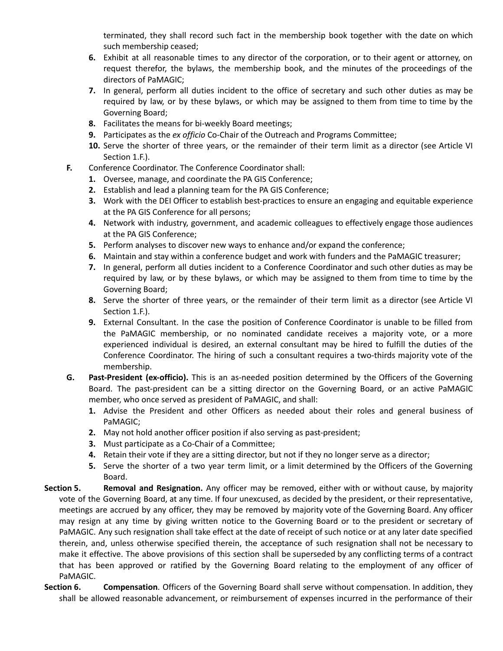terminated, they shall record such fact in the membership book together with the date on which such membership ceased;

- **6.** Exhibit at all reasonable times to any director of the corporation, or to their agent or attorney, on request therefor, the bylaws, the membership book, and the minutes of the proceedings of the directors of PaMAGIC;
- **7.** In general, perform all duties incident to the office of secretary and such other duties as may be required by law, or by these bylaws, or which may be assigned to them from time to time by the Governing Board;
- **8.** Facilitates the means for bi-weekly Board meetings;
- **9.** Participates as the *ex officio* Co-Chair of the Outreach and Programs Committee;
- **10.** Serve the shorter of three years, or the remainder of their term limit as a director (see Article VI Section 1.F.).
- **F.** Conference Coordinator. The Conference Coordinator shall:
	- **1.** Oversee, manage, and coordinate the PA GIS Conference;
	- **2.** Establish and lead a planning team for the PA GIS Conference;
	- **3.** Work with the DEI Officer to establish best-practices to ensure an engaging and equitable experience at the PA GIS Conference for all persons;
	- **4.** Network with industry, government, and academic colleagues to effectively engage those audiences at the PA GIS Conference;
	- **5.** Perform analyses to discover new ways to enhance and/or expand the conference;
	- **6.** Maintain and stay within a conference budget and work with funders and the PaMAGIC treasurer;
	- **7.** In general, perform all duties incident to a Conference Coordinator and such other duties as may be required by law, or by these bylaws, or which may be assigned to them from time to time by the Governing Board;
	- **8.** Serve the shorter of three years, or the remainder of their term limit as a director (see Article VI Section 1.F.).
	- **9.** External Consultant. In the case the position of Conference Coordinator is unable to be filled from the PaMAGIC membership, or no nominated candidate receives a majority vote, or a more experienced individual is desired, an external consultant may be hired to fulfill the duties of the Conference Coordinator. The hiring of such a consultant requires a two-thirds majority vote of the membership.
- **G. Past-President (ex-officio).** This is an as-needed position determined by the Officers of the Governing Board. The past-president can be a sitting director on the Governing Board, or an active PaMAGIC member, who once served as president of PaMAGIC, and shall:
	- **1.** Advise the President and other Officers as needed about their roles and general business of PaMAGIC;
	- **2.** May not hold another officer position if also serving as past-president;
	- **3.** Must participate as a Co-Chair of a Committee;
	- **4.** Retain their vote if they are a sitting director, but not if they no longer serve as a director;
	- **5.** Serve the shorter of a two year term limit, or a limit determined by the Officers of the Governing Board.
- **Section 5. Removal and Resignation.** Any officer may be removed, either with or without cause, by majority vote of the Governing Board, at any time. If four unexcused, as decided by the president, or their representative, meetings are accrued by any officer, they may be removed by majority vote of the Governing Board. Any officer may resign at any time by giving written notice to the Governing Board or to the president or secretary of PaMAGIC. Any such resignation shall take effect at the date of receipt of such notice or at any later date specified therein, and, unless otherwise specified therein, the acceptance of such resignation shall not be necessary to make it effective. The above provisions of this section shall be superseded by any conflicting terms of a contract that has been approved or ratified by the Governing Board relating to the employment of any officer of PaMAGIC.
- **Section 6. Compensation**. Officers of the Governing Board shall serve without compensation. In addition, they shall be allowed reasonable advancement, or reimbursement of expenses incurred in the performance of their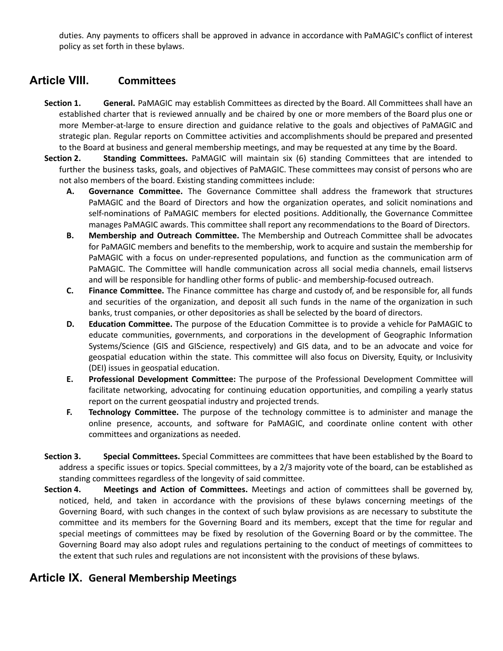duties. Any payments to officers shall be approved in advance in accordance with PaMAGIC's conflict of interest policy as set forth in these bylaws.

## **Article VIII. Committees**

- **Section 1. General.** PaMAGIC may establish Committees as directed by the Board. All Committees shall have an established charter that is reviewed annually and be chaired by one or more members of the Board plus one or more Member-at-large to ensure direction and guidance relative to the goals and objectives of PaMAGIC and strategic plan. Regular reports on Committee activities and accomplishments should be prepared and presented to the Board at business and general membership meetings, and may be requested at any time by the Board.
- **Section 2. Standing Committees.** PaMAGIC will maintain six (6) standing Committees that are intended to further the business tasks, goals, and objectives of PaMAGIC. These committees may consist of persons who are not also members of the board. Existing standing committees include:
	- **A. Governance Committee.** The Governance Committee shall address the framework that structures PaMAGIC and the Board of Directors and how the organization operates, and solicit nominations and self-nominations of PaMAGIC members for elected positions. Additionally, the Governance Committee manages PaMAGIC awards. This committee shall report any recommendations to the Board of Directors.
	- **B. Membership and Outreach Committee.** The Membership and Outreach Committee shall be advocates for PaMAGIC members and benefits to the membership, work to acquire and sustain the membership for PaMAGIC with a focus on under-represented populations, and function as the communication arm of PaMAGIC. The Committee will handle communication across all social media channels, email listservs and will be responsible for handling other forms of public- and membership-focused outreach.
	- **C. Finance Committee.** The Finance committee has charge and custody of, and be responsible for, all funds and securities of the organization, and deposit all such funds in the name of the organization in such banks, trust companies, or other depositories as shall be selected by the board of directors.
	- **D. Education Committee.** The purpose of the Education Committee is to provide a vehicle for PaMAGIC to educate communities, governments, and corporations in the development of Geographic Information Systems/Science (GIS and GIScience, respectively) and GIS data, and to be an advocate and voice for geospatial education within the state. This committee will also focus on Diversity, Equity, or Inclusivity (DEI) issues in geospatial education.
	- **E. Professional Development Committee:** The purpose of the Professional Development Committee will facilitate networking, advocating for continuing education opportunities, and compiling a yearly status report on the current geospatial industry and projected trends.
	- **F. Technology Committee.** The purpose of the technology committee is to administer and manage the online presence, accounts, and software for PaMAGIC, and coordinate online content with other committees and organizations as needed.
- **Section 3. Special Committees.** Special Committees are committees that have been established by the Board to address a specific issues or topics. Special committees, by a 2/3 majority vote of the board, can be established as standing committees regardless of the longevity of said committee.
- **Section 4. Meetings and Action of Committees.** Meetings and action of committees shall be governed by, noticed, held, and taken in accordance with the provisions of these bylaws concerning meetings of the Governing Board, with such changes in the context of such bylaw provisions as are necessary to substitute the committee and its members for the Governing Board and its members, except that the time for regular and special meetings of committees may be fixed by resolution of the Governing Board or by the committee. The Governing Board may also adopt rules and regulations pertaining to the conduct of meetings of committees to the extent that such rules and regulations are not inconsistent with the provisions of these bylaws.

# **Article IX. General Membership Meetings**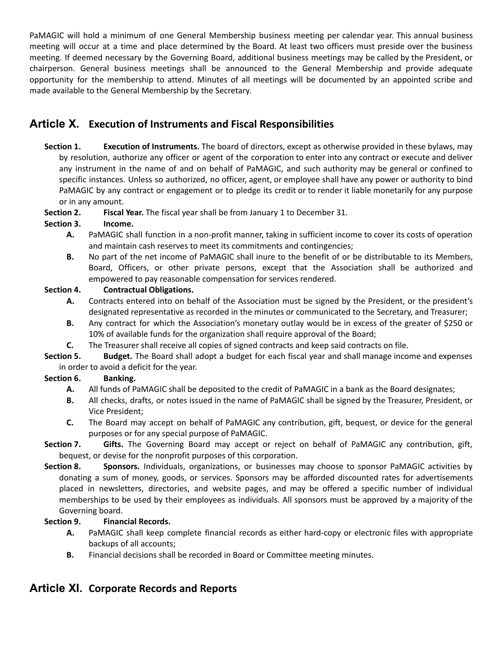PaMAGIC will hold a minimum of one General Membership business meeting per calendar year. This annual business meeting will occur at a time and place determined by the Board. At least two officers must preside over the business meeting. If deemed necessary by the Governing Board, additional business meetings may be called by the President, or chairperson. General business meetings shall be announced to the General Membership and provide adequate opportunity for the membership to attend. Minutes of all meetings will be documented by an appointed scribe and made available to the General Membership by the Secretary.

# **Article X. Execution of Instruments and Fiscal Responsibilities**

**Section 1. Execution of Instruments.** The board of directors, except as otherwise provided in these bylaws, may by resolution, authorize any officer or agent of the corporation to enter into any contract or execute and deliver any instrument in the name of and on behalf of PaMAGIC, and such authority may be general or confined to specific instances. Unless so authorized, no officer, agent, or employee shall have any power or authority to bind PaMAGIC by any contract or engagement or to pledge its credit or to render it liable monetarily for any purpose or in any amount.

**Section 2. Fiscal Year.** The fiscal year shall be from January 1 to December 31.

### **Section 3. Income.**

- **A.** PaMAGIC shall function in a non‐profit manner, taking in sufficient income to cover its costs of operation and maintain cash reserves to meet its commitments and contingencies;
- **B.** No part of the net income of PaMAGIC shall inure to the benefit of or be distributable to its Members, Board, Officers, or other private persons, except that the Association shall be authorized and empowered to pay reasonable compensation for services rendered.

### **Section 4. Contractual Obligations.**

- **A.** Contracts entered into on behalf of the Association must be signed by the President, or the president's designated representative as recorded in the minutes or communicated to the Secretary, and Treasurer;
- **B.** Any contract for which the Association's monetary outlay would be in excess of the greater of \$250 or 10% of available funds for the organization shall require approval of the Board;
- **C.** The Treasurer shall receive all copies of signed contracts and keep said contracts on file.

**Section 5. Budget.** The Board shall adopt a budget for each fiscal year and shall manage income and expenses in order to avoid a deficit for the year.

#### **Section 6. Banking.**

- **A.** All funds of PaMAGIC shall be deposited to the credit of PaMAGIC in a bank as the Board designates;
- **B.** All checks, drafts, or notes issued in the name of PaMAGIC shall be signed by the Treasurer, President, or Vice President;
- **C.** The Board may accept on behalf of PaMAGIC any contribution, gift, bequest, or device for the general purposes or for any special purpose of PaMAGIC.
- **Section 7. Gifts.** The Governing Board may accept or reject on behalf of PaMAGIC any contribution, gift, bequest, or devise for the nonprofit purposes of this corporation.
- **Section 8. Sponsors.** Individuals, organizations, or businesses may choose to sponsor PaMAGIC activities by donating a sum of money, goods, or services. Sponsors may be afforded discounted rates for advertisements placed in newsletters, directories, and website pages, and may be offered a specific number of individual memberships to be used by their employees as individuals. All sponsors must be approved by a majority of the Governing board.

### **Section 9. Financial Records.**

- **A.** PaMAGIC shall keep complete financial records as either hard-copy or electronic files with appropriate backups of all accounts;
- **B.** Financial decisions shall be recorded in Board or Committee meeting minutes.

## **Article XI. Corporate Records and Reports**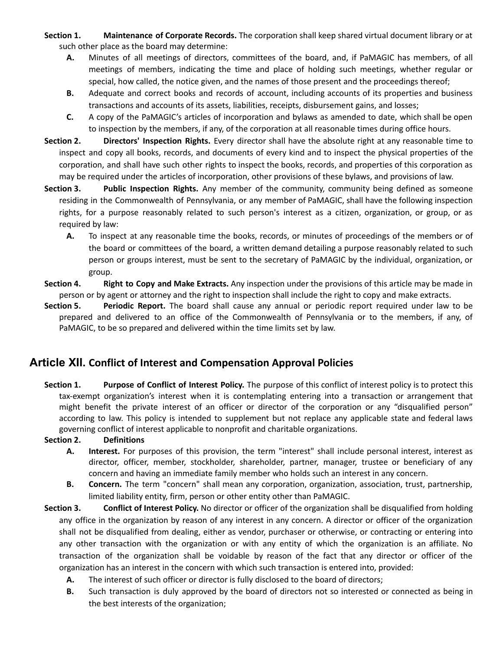**Section 1. Maintenance of Corporate Records.** The corporation shall keep shared virtual document library or at such other place as the board may determine:

- **A.** Minutes of all meetings of directors, committees of the board, and, if PaMAGIC has members, of all meetings of members, indicating the time and place of holding such meetings, whether regular or special, how called, the notice given, and the names of those present and the proceedings thereof;
- **B.** Adequate and correct books and records of account, including accounts of its properties and business transactions and accounts of its assets, liabilities, receipts, disbursement gains, and losses;
- **C.** A copy of the PaMAGIC's articles of incorporation and bylaws as amended to date, which shall be open to inspection by the members, if any, of the corporation at all reasonable times during office hours.

**Section 2. Directors' Inspection Rights.** Every director shall have the absolute right at any reasonable time to inspect and copy all books, records, and documents of every kind and to inspect the physical properties of the corporation, and shall have such other rights to inspect the books, records, and properties of this corporation as may be required under the articles of incorporation, other provisions of these bylaws, and provisions of law.

- **Section 3. Public Inspection Rights.** Any member of the community, community being defined as someone residing in the Commonwealth of Pennsylvania, or any member of PaMAGIC, shall have the following inspection rights, for a purpose reasonably related to such person's interest as a citizen, organization, or group, or as required by law:
	- **A.** To inspect at any reasonable time the books, records, or minutes of proceedings of the members or of the board or committees of the board, a written demand detailing a purpose reasonably related to such person or groups interest, must be sent to the secretary of PaMAGIC by the individual, organization, or group.
- **Section 4. Right to Copy and Make Extracts.** Any inspection under the provisions of this article may be made in person or by agent or attorney and the right to inspection shall include the right to copy and make extracts.
- **Section 5. Periodic Report.** The board shall cause any annual or periodic report required under law to be prepared and delivered to an office of the Commonwealth of Pennsylvania or to the members, if any, of PaMAGIC, to be so prepared and delivered within the time limits set by law.

## **Article XII. Conflict of Interest and Compensation Approval Policies**

**Section 1. Purpose of Conflict of Interest Policy.** The purpose of this conflict of interest policy is to protect this tax-exempt organization's interest when it is contemplating entering into a transaction or arrangement that might benefit the private interest of an officer or director of the corporation or any "disqualified person" according to law. This policy is intended to supplement but not replace any applicable state and federal laws governing conflict of interest applicable to nonprofit and charitable organizations.

#### **Section 2. Definitions**

- **A. Interest.** For purposes of this provision, the term "interest" shall include personal interest, interest as director, officer, member, stockholder, shareholder, partner, manager, trustee or beneficiary of any concern and having an immediate family member who holds such an interest in any concern.
- **B. Concern.** The term "concern" shall mean any corporation, organization, association, trust, partnership, limited liability entity, firm, person or other entity other than PaMAGIC.
- **Section 3. Conflict of Interest Policy.** No director or officer of the organization shall be disqualified from holding any office in the organization by reason of any interest in any concern. A director or officer of the organization shall not be disqualified from dealing, either as vendor, purchaser or otherwise, or contracting or entering into any other transaction with the organization or with any entity of which the organization is an affiliate. No transaction of the organization shall be voidable by reason of the fact that any director or officer of the organization has an interest in the concern with which such transaction is entered into, provided:
	- **A.** The interest of such officer or director is fully disclosed to the board of directors;
	- **B.** Such transaction is duly approved by the board of directors not so interested or connected as being in the best interests of the organization;